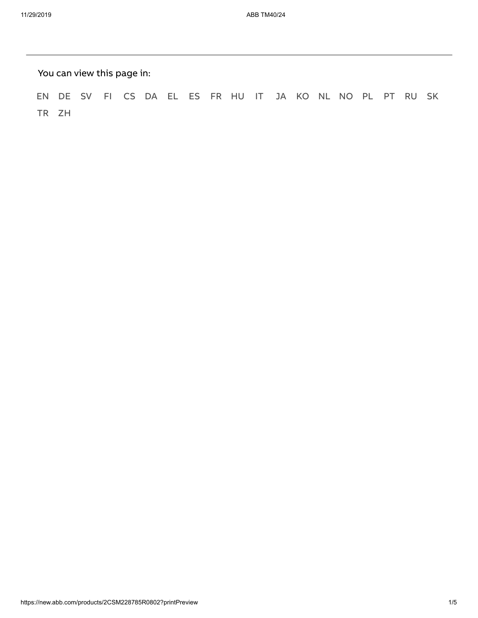You can view this page in:

[EN](https://new.abb.com/products/2CSM228785R0802) [DE](https://new.abb.com/products/de/2CSM228785R0802) [SV](https://new.abb.com/products/sv/2CSM228785R0802) [FI](https://new.abb.com/products/fi/2CSM228785R0802) [CS](https://new.abb.com/products/cs/2CSM228785R0802) [DA](https://new.abb.com/products/da/2CSM228785R0802) [EL](https://new.abb.com/products/el/2CSM228785R0802) [ES](https://new.abb.com/products/es/2CSM228785R0802) [FR](https://new.abb.com/products/fr/2CSM228785R0802) [HU](https://new.abb.com/products/hu/2CSM228785R0802) [IT](https://new.abb.com/products/it/2CSM228785R0802) [JA](https://new.abb.com/products/ja/2CSM228785R0802) [KO](https://new.abb.com/products/ko/2CSM228785R0802) [NL](https://new.abb.com/products/nl/2CSM228785R0802) [NO](https://new.abb.com/products/no/2CSM228785R0802) [PL](https://new.abb.com/products/pl/2CSM228785R0802) [PT](https://new.abb.com/products/pt/2CSM228785R0802) [RU](https://new.abb.com/products/ru/2CSM228785R0802) [SK](https://new.abb.com/products/sk/2CSM228785R0802) [TR](https://new.abb.com/products/tr/2CSM228785R0802) [ZH](https://new.abb.com/products/zh/2CSM228785R0802)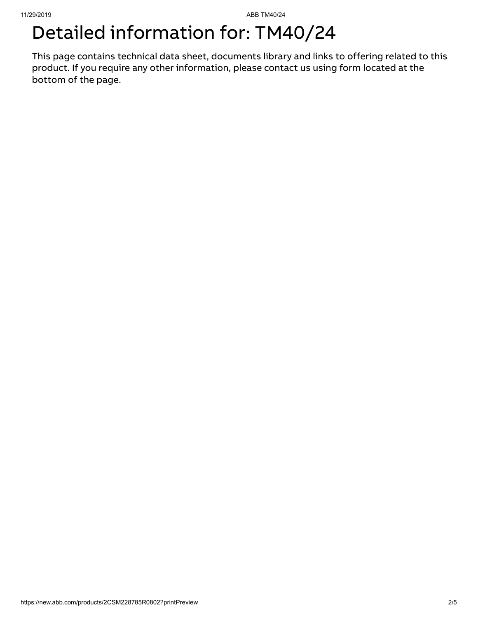## Detailed information for: TM40/24

This page contains technical data sheet, documents library and links to offering related to this product. If you require any other information, please contact us using form located at the bottom of the page.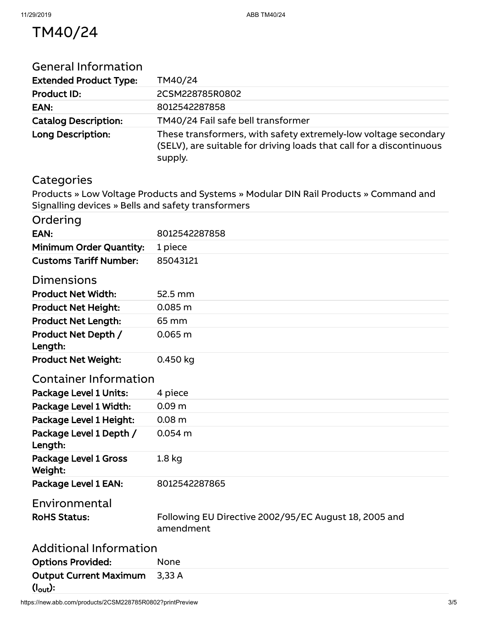## TM40/24

| <b>General Information</b>                         |                                                                                                                                                    |
|----------------------------------------------------|----------------------------------------------------------------------------------------------------------------------------------------------------|
| <b>Extended Product Type:</b>                      | TM40/24                                                                                                                                            |
| <b>Product ID:</b>                                 | 2CSM228785R0802                                                                                                                                    |
| EAN:                                               | 8012542287858                                                                                                                                      |
| <b>Catalog Description:</b>                        | TM40/24 Fail safe bell transformer                                                                                                                 |
| Long Description:                                  | These transformers, with safety extremely-low voltage secondary<br>(SELV), are suitable for driving loads that call for a discontinuous<br>supply. |
| Categories                                         |                                                                                                                                                    |
|                                                    | Products » Low Voltage Products and Systems » Modular DIN Rail Products » Command and                                                              |
| Signalling devices » Bells and safety transformers |                                                                                                                                                    |
| Ordering                                           |                                                                                                                                                    |
| EAN:                                               | 8012542287858                                                                                                                                      |
| <b>Minimum Order Quantity:</b>                     | 1 piece                                                                                                                                            |
| <b>Customs Tariff Number:</b>                      | 85043121                                                                                                                                           |
| <b>Dimensions</b>                                  |                                                                                                                                                    |
| <b>Product Net Width:</b>                          | 52.5 mm                                                                                                                                            |
| <b>Product Net Height:</b>                         | 0.085 <sub>m</sub>                                                                                                                                 |
| <b>Product Net Length:</b>                         | 65 mm                                                                                                                                              |
| Product Net Depth /                                | 0.065 m                                                                                                                                            |
| Length:                                            |                                                                                                                                                    |
| <b>Product Net Weight:</b>                         | 0.450 kg                                                                                                                                           |
| <b>Container Information</b>                       |                                                                                                                                                    |
| <b>Package Level 1 Units:</b>                      | 4 piece                                                                                                                                            |
| Package Level 1 Width:                             | 0.09 <sub>m</sub>                                                                                                                                  |
| Package Level 1 Height:                            | 0.08 <sub>m</sub>                                                                                                                                  |
| Package Level 1 Depth /<br>Length:                 | $0.054$ m                                                                                                                                          |
| Package Level 1 Gross<br>Weight:                   | 1.8 <sub>kg</sub>                                                                                                                                  |
| Package Level 1 EAN:                               | 8012542287865                                                                                                                                      |
| Environmental                                      |                                                                                                                                                    |
| <b>RoHS Status:</b>                                | Following EU Directive 2002/95/EC August 18, 2005 and<br>amendment                                                                                 |
| <b>Additional Information</b>                      |                                                                                                                                                    |
| <b>Options Provided:</b>                           | None                                                                                                                                               |
| <b>Output Current Maximum</b>                      | 3,33A                                                                                                                                              |
| $(l_{\text{out}})$ :                               |                                                                                                                                                    |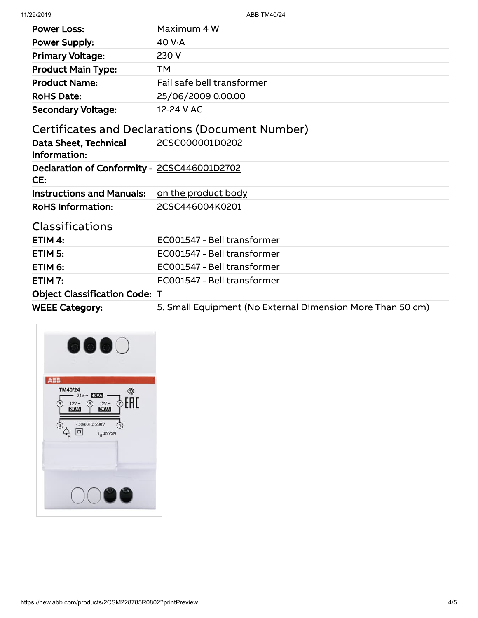11/29/2019 ABB TM40/24

| <b>Power Loss:</b>                                 | Maximum 4 W                                                |
|----------------------------------------------------|------------------------------------------------------------|
| <b>Power Supply:</b>                               | 40 V-A                                                     |
| <b>Primary Voltage:</b>                            | 230 V                                                      |
| <b>Product Main Type:</b>                          | TМ                                                         |
| <b>Product Name:</b>                               | Fail safe bell transformer                                 |
| <b>RoHS Date:</b>                                  | 25/06/2009 0.00.00                                         |
| <b>Secondary Voltage:</b>                          | 12-24 V AC                                                 |
|                                                    | Certificates and Declarations (Document Number)            |
| Data Sheet, Technical<br>Information:              | 2CSC000001D0202                                            |
| Declaration of Conformity - 2CSC446001D2702<br>CE: |                                                            |
| <b>Instructions and Manuals:</b>                   | on the product body                                        |
| <b>RoHS Information:</b>                           | 2CSC446004K0201                                            |
| <b>Classifications</b>                             |                                                            |
| ETIM $4:$                                          | EC001547 - Bell transformer                                |
| ETIM 5:                                            | EC001547 - Bell transformer                                |
| ETIM 6:                                            | EC001547 - Bell transformer                                |
| ETIM $7:$                                          | EC001547 - Bell transformer                                |
| <b>Object Classification Code: T</b>               |                                                            |
| <b>WEEE Category:</b>                              | 5. Small Equipment (No External Dimension More Than 50 cm) |